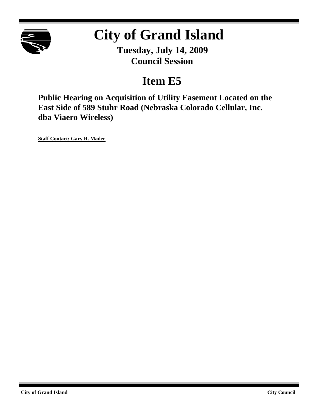

# **City of Grand Island**

**Tuesday, July 14, 2009 Council Session**

# **Item E5**

**Public Hearing on Acquisition of Utility Easement Located on the East Side of 589 Stuhr Road (Nebraska Colorado Cellular, Inc. dba Viaero Wireless)**

**Staff Contact: Gary R. Mader**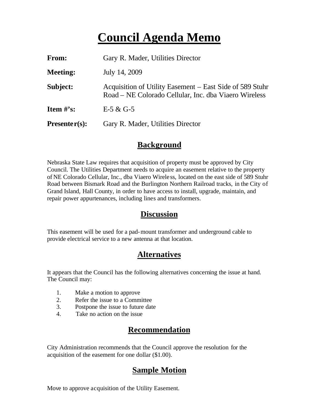# **Council Agenda Memo**

| From:                          | Gary R. Mader, Utilities Director                                                                                 |
|--------------------------------|-------------------------------------------------------------------------------------------------------------------|
| <b>Meeting:</b>                | July 14, 2009                                                                                                     |
| Subject:                       | Acquisition of Utility Easement – East Side of 589 Stuhr<br>Road – NE Colorado Cellular, Inc. dba Viaero Wireless |
| <b>Item <math>\#</math>'s:</b> | $E-5 & G-5$                                                                                                       |
| $Presenter(s):$                | Gary R. Mader, Utilities Director                                                                                 |

#### **Background**

Nebraska State Law requires that acquisition of property must be approved by City Council. The Utilities Department needs to acquire an easement relative to the property of NE Colorado Cellular, Inc., dba Viaero Wirele ss, located on the east side of 589 Stuhr Road between Bismark Road and the Burlington Northern Railroad tracks, in the City of Grand Island, Hall County, in order to have access to install, upgrade, maintain, and repair power appurtenances, including lines and transformers.

#### **Discussion**

This easement will be used for a pad-mount transformer and underground cable to provide electrical service to a new antenna at that location.

## **Alternatives**

It appears that the Council has the following alternatives concerning the issue at hand. The Council may:

- 1. Make a motion to approve
- 2. Refer the issue to a Committee
- 3. Postpone the issue to future date
- 4. Take no action on the issue

### **Recommendation**

City Administration recommends that the Council approve the resolution for the acquisition of the easement for one dollar (\$1.00).

## **Sample Motion**

Move to approve acquisition of the Utility Easement.